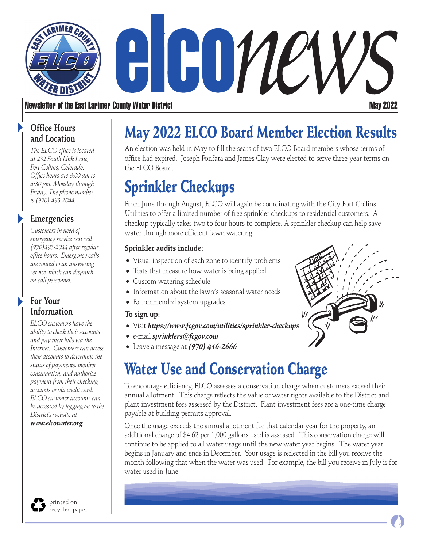

### Newsletter of the East Larimer County Water District May 2022

### **Office Hours and Location**

*The ELCO office is located at 232 South Link Lane, Fort Collins, Colorado. Office hours are 8:00 am to 4:30 pm, Monday through Friday. The phone number is (970) 493-2044.* 

## **Emergencies**

*Customers in need of emergency service can call (970)493-2044 after regular office hours. Emergency calls are routed to an answering service which can dispatch on-call personnel.*

## **For Your Information**

*ELCO customers have the ability to check their accounts and pay their bills via the Internet. Customers can access their accounts to determine the status of payments, monitor consumption, and authorize payment from their checking accounts or via credit card. ELCO customer accounts can be accessed by logging on to the District's website at www.elcowater.org.* 

#### printed on recycled paper.

# May 2022 ELCO Board Member Election Results

An election was held in May to fill the seats of two ELCO Board members whose terms of office had expired. Joseph Fonfara and James Clay were elected to serve three-year terms on the ELCO Board.

# Sprinkler Checkups

From June through August, ELCO will again be coordinating with the City Fort Collins Utilities to offer a limited number of free sprinkler checkups to residential customers. A checkup typically takes two to four hours to complete. A sprinkler checkup can help save water through more efficient lawn watering.

#### **Sprinkler audits include:**

- Visual inspection of each zone to identify problems
- Tests that measure how water is being applied
- Custom watering schedule
- Information about the lawn's seasonal water needs
- Recommended system upgrades

### **To sign up:**

- Visit *https://www.fcgov.com/utilities/sprinkler-checkups*
- e-mail *sprinklers@fcgov.com*
- Leave a message at *(970) 416-2666*

# Water Use and Conservation Charge

To encourage efficiency, ELCO assesses a conservation charge when customers exceed their annual allotment. This charge reflects the value of water rights available to the District and plant investment fees assessed by the District. Plant investment fees are a one-time charge payable at building permits approval.

Once the usage exceeds the annual allotment for that calendar year for the property, an additional charge of \$4.62 per 1,000 gallons used is assessed. This conservation charge will continue to be applied to all water usage until the new water year begins. The water year begins in January and ends in December. Your usage is reflected in the bill you receive the month following that when the water was used. For example, the bill you receive in July is for water used in June.